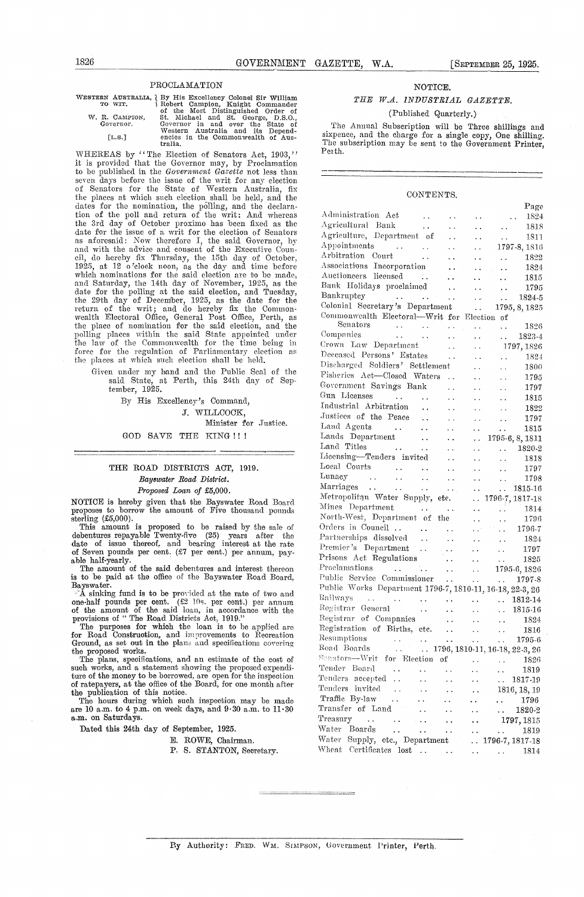$D_{\alpha \alpha \alpha}$ 

#### PROCLAMATION

| 1826                                                                                                                                            |              |  | GOVERNMENT GAZETTE, |                                 | W.A. |         | [SEPTEMBER 25, 1925. |  |  |
|-------------------------------------------------------------------------------------------------------------------------------------------------|--------------|--|---------------------|---------------------------------|------|---------|----------------------|--|--|
|                                                                                                                                                 | PROCLAMATION |  |                     |                                 |      | NOTICE. |                      |  |  |
| WESTERN AUSTRALIA, J By His Excellency Colonel Sir William<br>Robert Campion, Knight Commander<br>TO WIT.<br>al the Meal Distinguished Outer it |              |  |                     | THE<br>W.A. INDUSTRIAL GAZETTE. |      |         |                      |  |  |

WESTERN AUSTRALIA, <br/> By His Excellency Colonel Sir William TO WIT. (Separator 1991) 1991, Right Commander W. R. CAMPION, St. Michael and St. George, D.S.O., Governor. (Sovernor in and over the State of Western Australi

WHEREAS by "The Election of Senators Act, 1903," it is provided that the Governor may, by Proclamation *to be* published in the *Government Gazette* not less than seven days before the issue of the writ for any election of Senators for the State of Western Australia, fix the places at which such election shall be held, and the dates for the nomination, the polling, and the declaration of the poll and return of the writ: And whereas the 3rd day of October proximo has been fixed as the date for the issue of a writ for the election of Senators as aforesaid: Now therefore 1, the said Governor, by and with the advice and consent of the Executive Coun-cil, do hereby fix Thursday, the 15th day of October, 1925, at 12 o'clock noon, as the day and time before which nominations for the said election are to be made,<br>and Saturday, the 14th day of November, 1925, as the<br>date for the polling at the said election, and Tuesday,<br>the 29th day of December, 1925, as the date for the<br>retur the place of nomination for the said election, and the polling places within the said State appointed under the law of the Commonwealth for the time being in force for the regulation of Parliamentary election as the places at which such election shall be held.

Given under my hand and the Public Seal of the said State, at Perth, this 24th day of September, 1925.

By His Excellency's Command, J. WILLCOCK, Minister for Justice.

GOD SAVE THE KING!!!

#### THE ROAD DISTRICTS ACT, 1919. *Bayswater Road District. Proposed Loan* of £5,000.

NOTICE is hereby given that the Bayswater Road Board<br>proposes to borrow the amount of Five thousand pounds<br>sterling (£5,000).

This amount is proposed to be raised by the sale of debentures repayable Twenty-five (25) years after the date of issue thereof, and bearing interest at the rate of Seven pounds per cent. (£7 per cent.) per annum, payable half-yearly.

The amount of the said debentures and interest thereon is to be paid at the office of the Bayswater Road Board, Bayswater.

"A sinking fund is to be provided at the rate of two and

one-half pounds per cent.  $(\mathcal{L}2 \ 10s)$ . per cent.) per annum<br>of the amount of the said loan, in accordance with the<br>provisions of "The Road Districts Act, 1919."<br>The purposes for which the loan is to be applied are<br>for

the proposed works. The plans, specifications, and an estimate of the cost of such works, and a statement showing the proposed expendi-ture of the money to be borrowed, are open for the inspection of ratepayers, at the office of the Board, for one month after the publication of this notice.

The hours during which such inspection may be made are 10 a.m. to 4 p.m. on week days, and 9-30 a.m. to 11-30 a.m. on Saturdays.

Dated this 24th day of September, 1925.

E. ROWE, Chairman.

P. S. STANTON, Secretary.

#### NOTICE.

#### *THE W.A. INDUSTRIAL GAZETTE.*

#### (Published Quarterly.)

The Annual Subscription will be Three shillings and sixpence, and the charge for a single copy, One shilling. The subscription may be sent to the Government Printer, Peith.

#### CONTENTS.

|                                                                                                        |                        |                                                           |                                                   | – age                                                                                                 |
|--------------------------------------------------------------------------------------------------------|------------------------|-----------------------------------------------------------|---------------------------------------------------|-------------------------------------------------------------------------------------------------------|
| Administration Act                                                                                     |                        |                                                           | . .                                               | 1824                                                                                                  |
| Agricultural Bank                                                                                      |                        |                                                           | $\ddot{\phantom{0}}$                              | 1818<br>$\ddot{\phantom{0}}$                                                                          |
| Agriculture, Department of                                                                             |                        |                                                           | $\ddot{\phantom{0}}$                              | 1811<br>L.                                                                                            |
| Appointments $\ldots$ .                                                                                |                        | $\ddot{\phantom{0}}$                                      | $\ddot{\phantom{0}}$                              | 1797-8, 1816                                                                                          |
| Arbitration Court<br><b>Contractor</b>                                                                 |                        | $\ddot{\phantom{0}}$                                      | $\ddot{\phantom{0}}$                              | 1822<br>$\ddot{\phantom{1}}$                                                                          |
| Associations Incorporation                                                                             |                        | . .                                                       | $\ddot{\phantom{1}}$                              | 1824<br>$\ddot{\phantom{0}}$                                                                          |
| Auctioneers licensed<br>$\sim 100$                                                                     |                        | $\ddot{\phantom{1}}$ .                                    | $\ddot{\phantom{a}}$                              | 1815<br>$\ddotsc$                                                                                     |
| Bank Holidays proclaimed                                                                               |                        | $\ddot{\phantom{0}}$                                      | $\ddot{\phantom{0}}$                              | 1795<br>$\ddot{\phantom{0}}$                                                                          |
| Bankruptcy<br>$\mathcal{L}^{\text{max}}$ and $\mathcal{L}^{\text{max}}$ and $\mathcal{L}^{\text{max}}$ |                        | $\ddot{\phantom{0}}$                                      | i,                                                | 1824-5<br>$\ddot{\phantom{0}}$                                                                        |
| Colonial Secretary's Department                                                                        |                        |                                                           | $\ddot{\phantom{0}}$                              | 1795, 8, 1825                                                                                         |
| Commonwealth Electoral-Writ for Election of                                                            |                        |                                                           |                                                   |                                                                                                       |
| Senators<br>$\epsilon_{\rm{max}}$ and $\epsilon_{\rm{max}}$                                            |                        | $\ddot{\phantom{1}}$ .                                    | Ϋ,                                                | 1826<br>$\ddot{\phantom{0}}$                                                                          |
| Companies<br><b>College</b>                                                                            | $\ddot{\phantom{0}}$   | $\ddot{\phantom{1}}$                                      | . .                                               | 1823-4<br>in 1                                                                                        |
| Crown Law Department                                                                                   |                        | L.                                                        | $\ddot{\phantom{1}}$                              | 1797, 1826                                                                                            |
| Deceased Persons' Estates                                                                              |                        | Ϋ.                                                        | $\ddot{\phantom{1}}$                              | 1824<br>L,                                                                                            |
| Discharged Soldiers' Settlement                                                                        |                        |                                                           | $\ddot{\phantom{0}}$                              | 1800<br>$\ddot{\phantom{0}}$                                                                          |
| Fisheries Act-Closed Waters                                                                            |                        | $\sim$ .                                                  | $\ddot{\phantom{0}}$                              | 1795<br>i.                                                                                            |
| Government Savings Bank                                                                                |                        |                                                           |                                                   | 1797<br>$\ddot{\phantom{1}}$                                                                          |
| Gun Licenses<br><b>Contractor</b>                                                                      | $\ddot{\phantom{0}}$   | Ϋ.                                                        | $\ddot{\phantom{a}}$                              | 1815<br>. .                                                                                           |
| Industrial Arbitration                                                                                 | $\ddot{\phantom{0}}$   | Ϋ,                                                        | . .                                               | 1822<br>$\ddot{\phantom{1}}$                                                                          |
| Justices of the Peace                                                                                  | $\ddot{\phantom{a}}$   | $\ddot{\phantom{0}}$                                      | $\ddot{\phantom{0}}$                              | 1797<br>Ϋ.                                                                                            |
| Land Agents<br>$\sim$ $\sim$ $\sim$                                                                    | $\sim$ $\sim$          | μ.                                                        | $\ddot{\phantom{0}}$                              | 1815<br>Ω.                                                                                            |
| Lands Department                                                                                       | $\sim$ $\sim$ $\sim$   | $\sim$                                                    | $\ddot{\phantom{0}}$                              | 1795-6, 8, 1811                                                                                       |
| Land Titles<br>$\sim 100$                                                                              | $\sim$ $\sim$          | $\ddot{\phantom{0}}$                                      | . .                                               | 1820-2<br>i i s                                                                                       |
| Licensing-Tenders invited                                                                              |                        | $\ddot{\phantom{0}}$                                      | .,                                                | 1818<br>$\ddot{\phantom{0}}$                                                                          |
| Local Courts<br>Taimaey                                                                                | $\ddot{\phantom{0}}$   | $\ddot{\phantom{0}}$                                      | . .                                               | 1797<br>$\ddot{\phantom{1}}$                                                                          |
|                                                                                                        | $\ddot{\phantom{a}}$ . | $\ddotsc$                                                 | $\ddotsc$                                         | 1798<br>$\ddot{\phantom{a}}$ .                                                                        |
| Marriages                                                                                              | $\ddot{\phantom{a}}$   | $\sim$ $\sim$ .                                           | $\ddot{\phantom{0}}$                              | 1815-16<br>с.                                                                                         |
| Metropolitan Water Supply,                                                                             |                        | etc.                                                      |                                                   | $\ldots$ 1796-7, 1817-18                                                                              |
| Mines Department<br>$\sim 100$ km $^{-1}$                                                              |                        | $\sim$ 10 $\pm$ 14                                        |                                                   | 1814<br><b>College</b><br>$\ddot{\phantom{a}}$                                                        |
| North-West, Department of                                                                              |                        | the                                                       | И.                                                | 1796<br>. .                                                                                           |
| Orders in Council                                                                                      | $\sim$ $\sim$          | $\ddot{\phantom{0}}$                                      | i in                                              | 1796-7<br>$\sim$ $\sim$                                                                               |
| Partnerships dissolved                                                                                 | $\sim$ $\sim$ $\sim$   | $\ddot{\phantom{0}}$                                      | $\ddot{\phantom{0}}$                              | 1824<br>$\ddot{\phantom{a}}$                                                                          |
| Premier's Department                                                                                   | $\ddot{\phantom{1}}$   | $\ddot{\phantom{0}}$                                      | $\ddotsc$                                         | 1797<br>$\ddot{\phantom{0}}$                                                                          |
| Prisons Act Regulations                                                                                |                        | $\ddot{\phantom{a}}$                                      | $\ddotsc$                                         | 1825<br>$\ddot{\phantom{1}}$ .                                                                        |
| Proclamations                                                                                          |                        | $\ddot{\phantom{1}}$                                      | $\sim 10^{-1}$                                    | 1795-6, 1826                                                                                          |
| Public Service Commissioner                                                                            |                        | $\mathbf{r}$ , $\mathbf{r}$ , $\mathbf{r}$ , $\mathbf{r}$ |                                                   | $\cdots \qquad \cdots \qquad 1797-8$                                                                  |
| Public Works Department 1796-7, 1810-11, 16-18, 22-3, 26                                               |                        |                                                           |                                                   |                                                                                                       |
| Railways                                                                                               |                        | $\ddot{\phantom{0}}$                                      | $\bullet$ $\bullet$ $\bullet$ $\bullet$ $\bullet$ | 1812-14<br>$\ddot{\phantom{a}}$                                                                       |
| Registrar General                                                                                      | $\sim$                 | ż.                                                        | $\sim 10^{-1}$                                    | 1815-16<br>$\sim$ .                                                                                   |
| Registrar of Companies                                                                                 |                        | $\ddot{\phantom{0}}$                                      | $\sim 10^{-1}$                                    | 1824<br>$\ddot{\phantom{1}}$                                                                          |
| Registration of Births, etc.                                                                           |                        | $\ddot{\phantom{1}}$                                      | $\sim 10^{-11}$                                   | 1816<br>$\sim$ $\sim$                                                                                 |
| Resumptions<br>Resumptions 1795-6<br>Road Boards 1796, 1810-11, 16-18, 22-3, 26                        |                        |                                                           |                                                   |                                                                                                       |
|                                                                                                        |                        |                                                           |                                                   |                                                                                                       |
| Senators-Writ for Election of                                                                          |                        |                                                           |                                                   | 1826<br>$\mathcal{L}_{\mathcal{A}}$ , where $\mathcal{L}_{\mathcal{A}}$ , $\mathcal{L}_{\mathcal{A}}$ |
| Tender Board — , ,                                                                                     |                        |                                                           |                                                   | 1819                                                                                                  |
| Tenders accepted<br>$\ddotsc$                                                                          |                        | $\ddot{\phantom{1}}$                                      | . .                                               | 1817-19<br>$\sim 10^{-1}$                                                                             |
| Tenders invited                                                                                        |                        |                                                           |                                                   | 1816, 18, 19                                                                                          |
| Traffic By-law                                                                                         |                        |                                                           |                                                   | 1796<br>$\ddot{\phantom{0}}$                                                                          |
| Transfer of Land                                                                                       |                        |                                                           |                                                   | 1820-2<br>$\sim$ $\sim$                                                                               |
| Treasury<br>$\ddots$<br>$\ddot{\phantom{1}}$                                                           |                        |                                                           |                                                   | 1797, 1815                                                                                            |
| Water<br>Boards<br>$\ddot{\phantom{0}}$                                                                | $\ddot{\phantom{1}}$   | . .                                                       |                                                   | 1819<br>$\ddot{\phantom{1}}$                                                                          |
| Water<br>Supply, etc., Department                                                                      |                        |                                                           | . .                                               | 1796-7, 1817-18                                                                                       |
| Wheat<br>$\label{cor:1} \text{Certificates \: last } \dots \qquad \dots$                               |                        |                                                           |                                                   | 1814<br>$\mathbf{z} \leftarrow \mathbf{z}$ , where $\mathbf{z} \leftarrow \mathbf{z}$                 |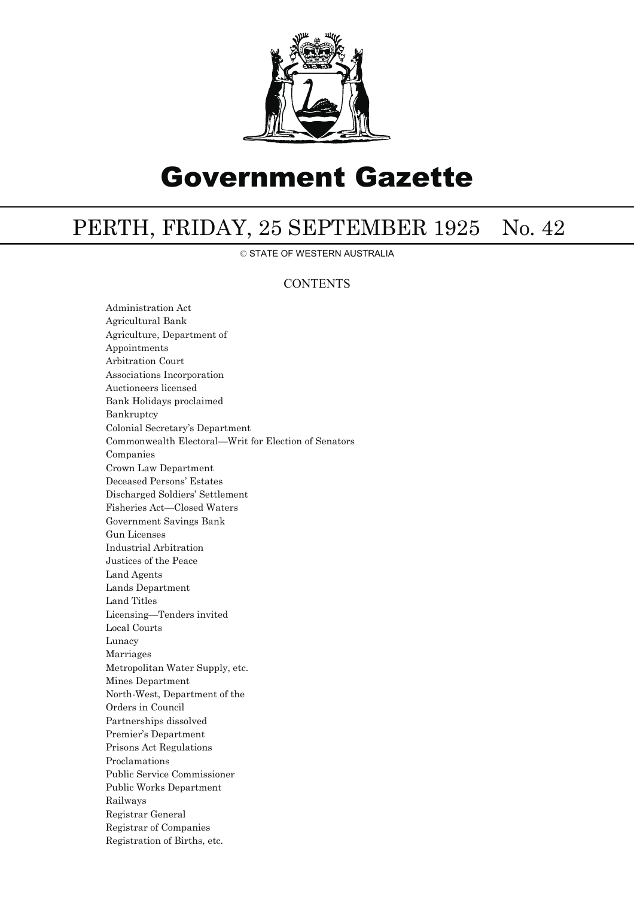

# Government Gazette

## PERTH, FRIDAY, 25 SEPTEMBER 1925 No. 42

© STATE OF WESTERN AUSTRALIA

### **CONTENTS**

Administration Act Agricultural Bank Agriculture, Department of Appointments Arbitration Court Associations Incorporation Auctioneers licensed Bank Holidays proclaimed Bankruptcy Colonial Secretary's Department Commonwealth Electoral—Writ for Election of Senators Companies Crown Law Department Deceased Persons' Estates Discharged Soldiers' Settlement Fisheries Act—Closed Waters Government Savings Bank Gun Licenses Industrial Arbitration Justices of the Peace Land Agents Lands Department Land Titles Licensing—Tenders invited Local Courts Lunacy Marriages Metropolitan Water Supply, etc. Mines Department North-West, Department of the Orders in Council Partnerships dissolved Premier's Department Prisons Act Regulations Proclamations Public Service Commissioner Public Works Department Railways Registrar General Registrar of Companies Registration of Births, etc.